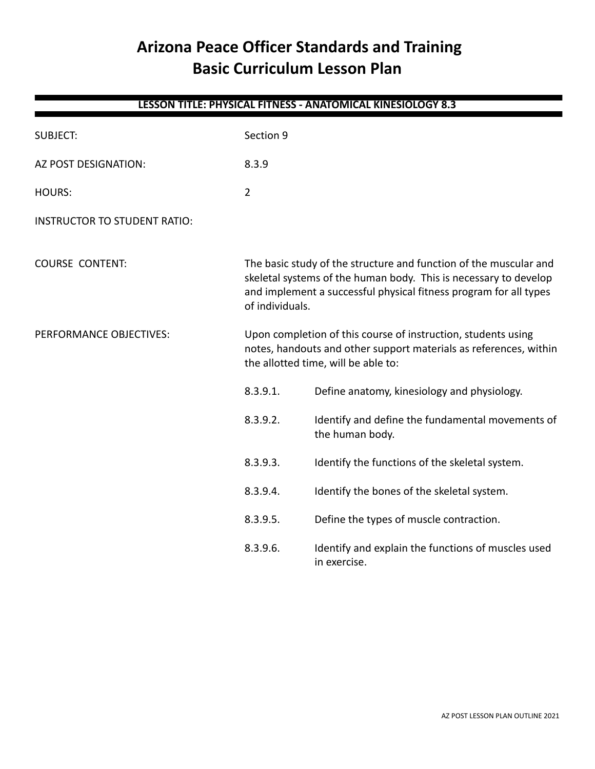# **Arizona Peace Officer Standards and Training Basic Curriculum Lesson Plan**

| LESSUN TITLE. PHTSICAL FITNESS - ANATUMICAL NINESIULUUT 0.S |                                                                                                                                                                                                                               |                                                                     |  |
|-------------------------------------------------------------|-------------------------------------------------------------------------------------------------------------------------------------------------------------------------------------------------------------------------------|---------------------------------------------------------------------|--|
| <b>SUBJECT:</b>                                             | Section 9                                                                                                                                                                                                                     |                                                                     |  |
| AZ POST DESIGNATION:                                        | 8.3.9                                                                                                                                                                                                                         |                                                                     |  |
| <b>HOURS:</b>                                               | $\overline{2}$                                                                                                                                                                                                                |                                                                     |  |
| <b>INSTRUCTOR TO STUDENT RATIO:</b>                         |                                                                                                                                                                                                                               |                                                                     |  |
| <b>COURSE CONTENT:</b>                                      | The basic study of the structure and function of the muscular and<br>skeletal systems of the human body. This is necessary to develop<br>and implement a successful physical fitness program for all types<br>of individuals. |                                                                     |  |
| PERFORMANCE OBJECTIVES:                                     | Upon completion of this course of instruction, students using<br>notes, handouts and other support materials as references, within<br>the allotted time, will be able to:                                                     |                                                                     |  |
|                                                             | 8.3.9.1.                                                                                                                                                                                                                      | Define anatomy, kinesiology and physiology.                         |  |
|                                                             | 8.3.9.2.                                                                                                                                                                                                                      | Identify and define the fundamental movements of<br>the human body. |  |
|                                                             | 8.3.9.3.                                                                                                                                                                                                                      | Identify the functions of the skeletal system.                      |  |
|                                                             | 8.3.9.4.                                                                                                                                                                                                                      | Identify the bones of the skeletal system.                          |  |
|                                                             | 8.3.9.5.                                                                                                                                                                                                                      | Define the types of muscle contraction.                             |  |
|                                                             | 8.3.9.6.                                                                                                                                                                                                                      | Identify and explain the functions of muscles used<br>in exercise.  |  |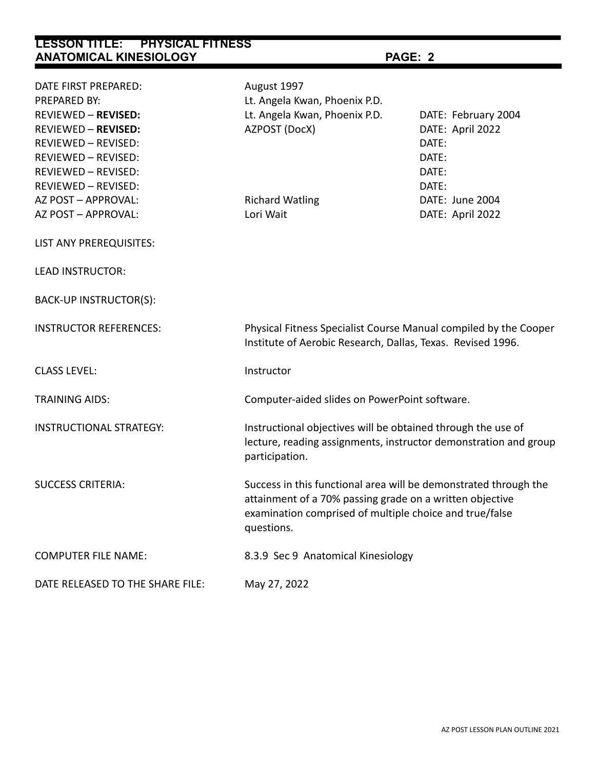| DATE FIRST PREPARED:<br>PREPARED BY:<br><b>REVIEWED - REVISED:</b><br><b>REVIEWED - REVISED:</b><br><b>REVIEWED - REVISED:</b><br><b>REVIEWED - REVISED:</b><br>REVIEWED - REVISED:<br>REVIEWED - REVISED: | August 1997<br>Lt. Angela Kwan, Phoenix P.D.<br>Lt. Angela Kwan, Phoenix P.D.<br>AZPOST (DocX)                                                                                                        | DATE: February 2004<br>DATE: April 2022<br>DATE:<br>DATE:<br>DATE:<br>DATE: |  |
|------------------------------------------------------------------------------------------------------------------------------------------------------------------------------------------------------------|-------------------------------------------------------------------------------------------------------------------------------------------------------------------------------------------------------|-----------------------------------------------------------------------------|--|
| AZ POST - APPROVAL:<br>AZ POST - APPROVAL:                                                                                                                                                                 | <b>Richard Watling</b><br>Lori Wait                                                                                                                                                                   | DATE: June 2004<br>DATE: April 2022                                         |  |
| LIST ANY PREREQUISITES:<br><b>LEAD INSTRUCTOR:</b>                                                                                                                                                         |                                                                                                                                                                                                       |                                                                             |  |
|                                                                                                                                                                                                            |                                                                                                                                                                                                       |                                                                             |  |
| BACK-UP INSTRUCTOR(S):                                                                                                                                                                                     |                                                                                                                                                                                                       |                                                                             |  |
| <b>INSTRUCTOR REFERENCES:</b>                                                                                                                                                                              | Physical Fitness Specialist Course Manual compiled by the Cooper<br>Institute of Aerobic Research, Dallas, Texas. Revised 1996.                                                                       |                                                                             |  |
| <b>CLASS LEVEL:</b>                                                                                                                                                                                        | Instructor                                                                                                                                                                                            |                                                                             |  |
| <b>TRAINING AIDS:</b>                                                                                                                                                                                      | Computer-aided slides on PowerPoint software.                                                                                                                                                         |                                                                             |  |
| <b>INSTRUCTIONAL STRATEGY:</b>                                                                                                                                                                             | Instructional objectives will be obtained through the use of<br>lecture, reading assignments, instructor demonstration and group<br>participation.                                                    |                                                                             |  |
| <b>SUCCESS CRITERIA:</b>                                                                                                                                                                                   | Success in this functional area will be demonstrated through the<br>attainment of a 70% passing grade on a written objective<br>examination comprised of multiple choice and true/false<br>questions. |                                                                             |  |
| <b>COMPUTER FILE NAME:</b>                                                                                                                                                                                 | 8.3.9 Sec 9 Anatomical Kinesiology                                                                                                                                                                    |                                                                             |  |
| DATE RELEASED TO THE SHARE FILE:                                                                                                                                                                           | May 27, 2022                                                                                                                                                                                          |                                                                             |  |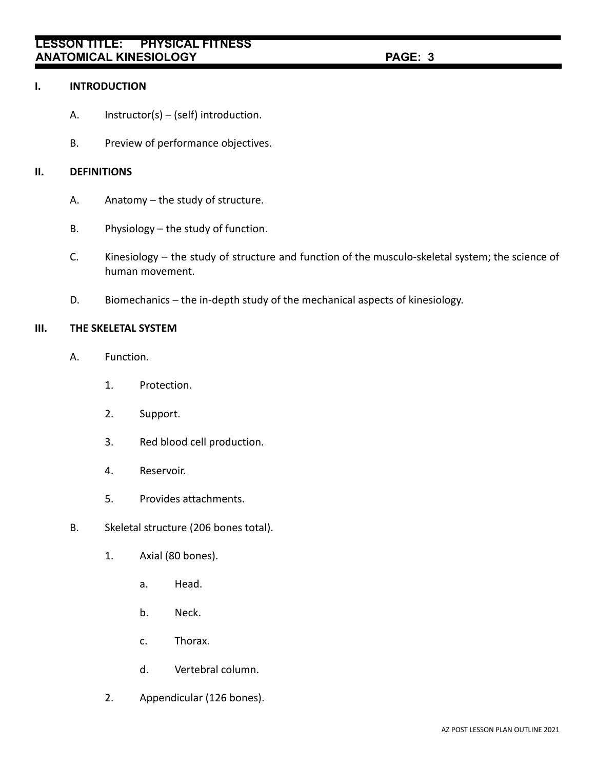#### **I. INTRODUCTION**

- A. Instructor(s) (self) introduction.
- B. Preview of performance objectives.

## **II. DEFINITIONS**

- A. Anatomy the study of structure.
- B. Physiology the study of function.
- C. Kinesiology the study of structure and function of the musculo-skeletal system; the science of human movement.
- D. Biomechanics the in-depth study of the mechanical aspects of kinesiology.

#### **III. THE SKELETAL SYSTEM**

- A. Function.
	- 1. Protection.
	- 2. Support.
	- 3. Red blood cell production.
	- 4. Reservoir.
	- 5. Provides attachments.
- B. Skeletal structure (206 bones total).
	- 1. Axial (80 bones).
		- a. Head.
		- b. Neck.
		- c. Thorax.
		- d. Vertebral column.
	- 2. Appendicular (126 bones).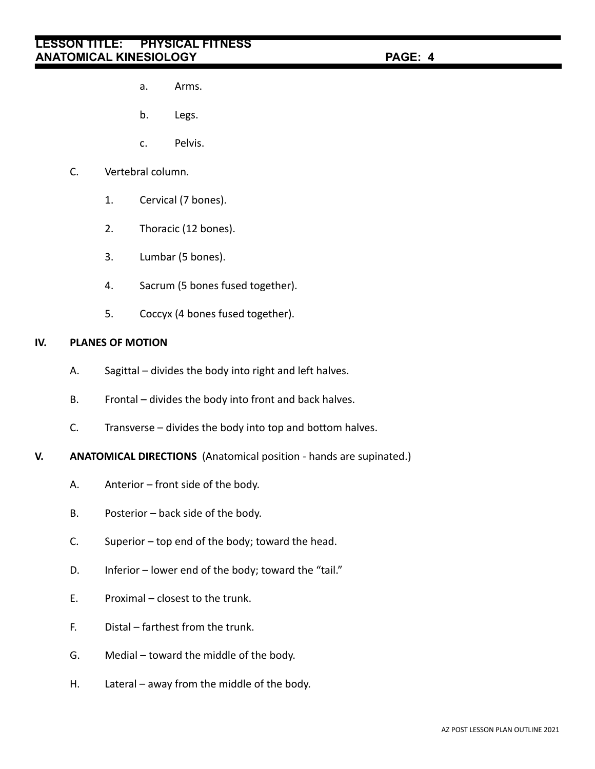- a. Arms.
- b. Legs.
- c. Pelvis.
- C. Vertebral column.
	- 1. Cervical (7 bones).
	- 2. Thoracic (12 bones).
	- 3. Lumbar (5 bones).
	- 4. Sacrum (5 bones fused together).
	- 5. Coccyx (4 bones fused together).

## **IV. PLANES OF MOTION**

- A. Sagittal divides the body into right and left halves.
- B. Frontal divides the body into front and back halves.
- C. Transverse divides the body into top and bottom halves.
- **V. ANATOMICAL DIRECTIONS** (Anatomical position hands are supinated.)
	- A. Anterior front side of the body.
	- B. Posterior back side of the body.
	- C. Superior top end of the body; toward the head.
	- D. Inferior lower end of the body; toward the "tail."
	- E. Proximal closest to the trunk.
	- F. Distal farthest from the trunk.
	- G. Medial toward the middle of the body.
	- H. Lateral away from the middle of the body.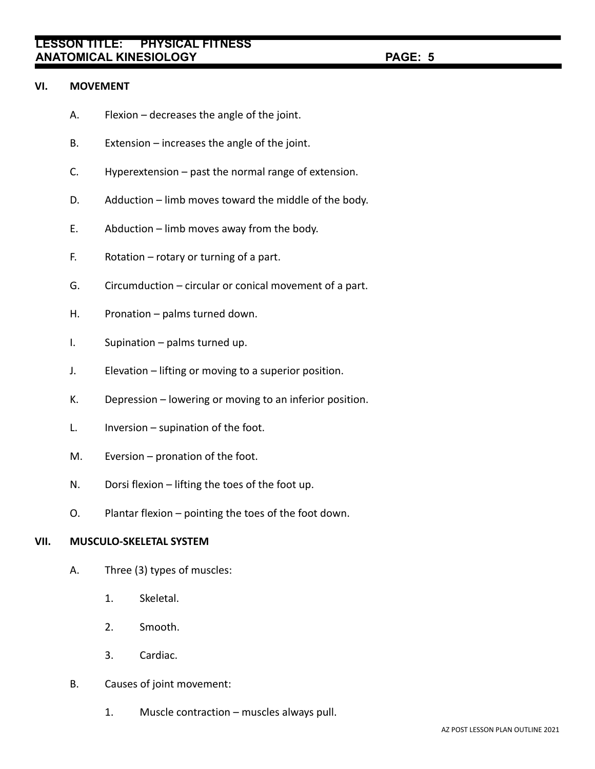#### **VI. MOVEMENT**

- A. Flexion decreases the angle of the joint.
- B. Extension increases the angle of the joint.
- C. Hyperextension past the normal range of extension.
- D. Adduction limb moves toward the middle of the body.
- E. Abduction limb moves away from the body.
- F. Rotation rotary or turning of a part.
- G. Circumduction circular or conical movement of a part.
- H. Pronation palms turned down.
- I. Supination palms turned up.
- J. Elevation lifting or moving to a superior position.
- K. Depression lowering or moving to an inferior position.
- L. Inversion supination of the foot.
- M. Eversion pronation of the foot.
- N. Dorsi flexion lifting the toes of the foot up.
- O. Plantar flexion pointing the toes of the foot down.

### **VII. MUSCULO-SKELETAL SYSTEM**

- A. Three (3) types of muscles:
	- 1. Skeletal.
	- 2. Smooth.
	- 3. Cardiac.
- B. Causes of joint movement:
	- 1. Muscle contraction muscles always pull.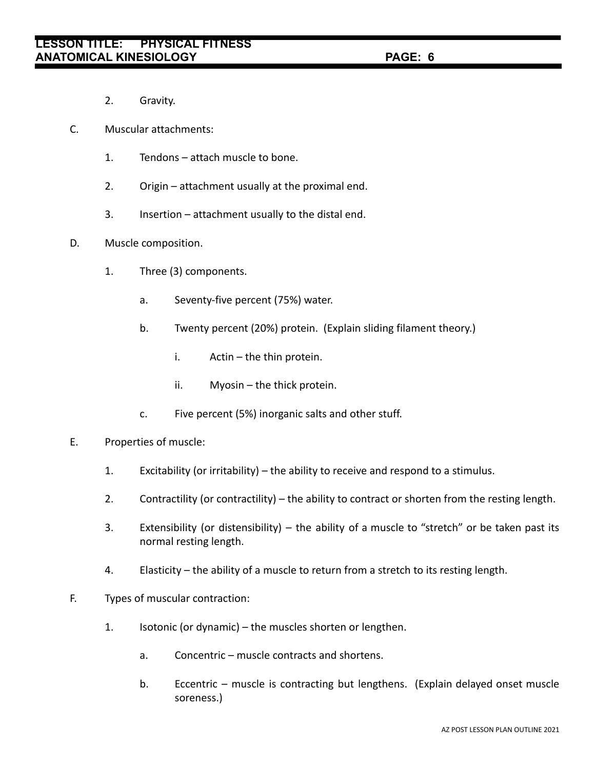- 2. Gravity.
- C. Muscular attachments:
	- 1. Tendons attach muscle to bone.
	- 2. Origin attachment usually at the proximal end.
	- 3. Insertion attachment usually to the distal end.
- D. Muscle composition.
	- 1. Three (3) components.
		- a. Seventy-five percent (75%) water.
		- b. Twenty percent (20%) protein. (Explain sliding filament theory.)
			- i. Actin the thin protein.
			- ii. Myosin the thick protein.
		- c. Five percent (5%) inorganic salts and other stuff.

#### E. Properties of muscle:

- 1. Excitability (or irritability) the ability to receive and respond to a stimulus.
- 2. Contractility (or contractility) the ability to contract or shorten from the resting length.
- 3. Extensibility (or distensibility) the ability of a muscle to "stretch" or be taken past its normal resting length.
- 4. Elasticity the ability of a muscle to return from a stretch to its resting length.
- F. Types of muscular contraction:
	- 1. Isotonic (or dynamic) the muscles shorten or lengthen.
		- a. Concentric muscle contracts and shortens.
		- b. Eccentric muscle is contracting but lengthens. (Explain delayed onset muscle soreness.)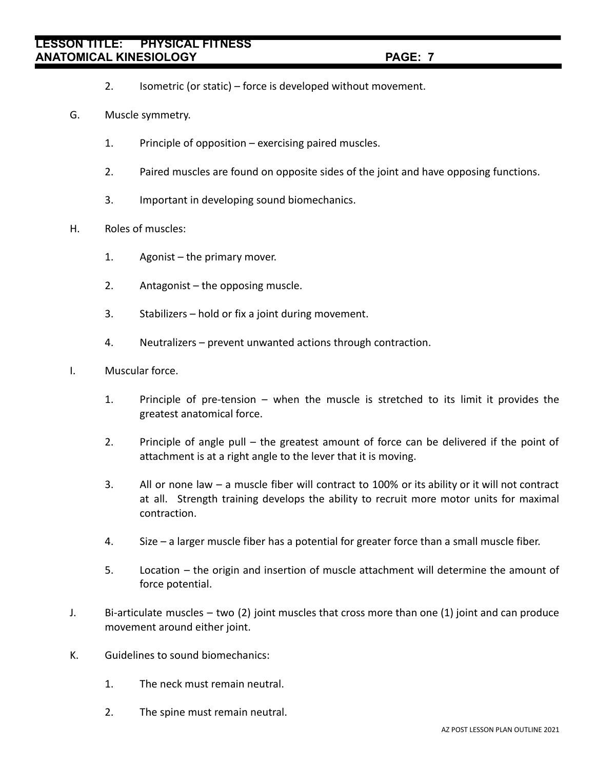- 2. Isometric (or static) force is developed without movement.
- G. Muscle symmetry.
	- 1. Principle of opposition exercising paired muscles.
	- 2. Paired muscles are found on opposite sides of the joint and have opposing functions.
	- 3. Important in developing sound biomechanics.
- H. Roles of muscles:
	- 1. Agonist the primary mover.
	- 2. Antagonist the opposing muscle.
	- 3. Stabilizers hold or fix a joint during movement.
	- 4. Neutralizers prevent unwanted actions through contraction.
- I. Muscular force.
	- 1. Principle of pre-tension when the muscle is stretched to its limit it provides the greatest anatomical force.
	- 2. Principle of angle pull the greatest amount of force can be delivered if the point of attachment is at a right angle to the lever that it is moving.
	- 3. All or none law a muscle fiber will contract to 100% or its ability or it will not contract at all. Strength training develops the ability to recruit more motor units for maximal contraction.
	- 4. Size a larger muscle fiber has a potential for greater force than a small muscle fiber.
	- 5. Location the origin and insertion of muscle attachment will determine the amount of force potential.
- J. Bi-articulate muscles two (2) joint muscles that cross more than one (1) joint and can produce movement around either joint.
- K. Guidelines to sound biomechanics:
	- 1. The neck must remain neutral.
	- 2. The spine must remain neutral.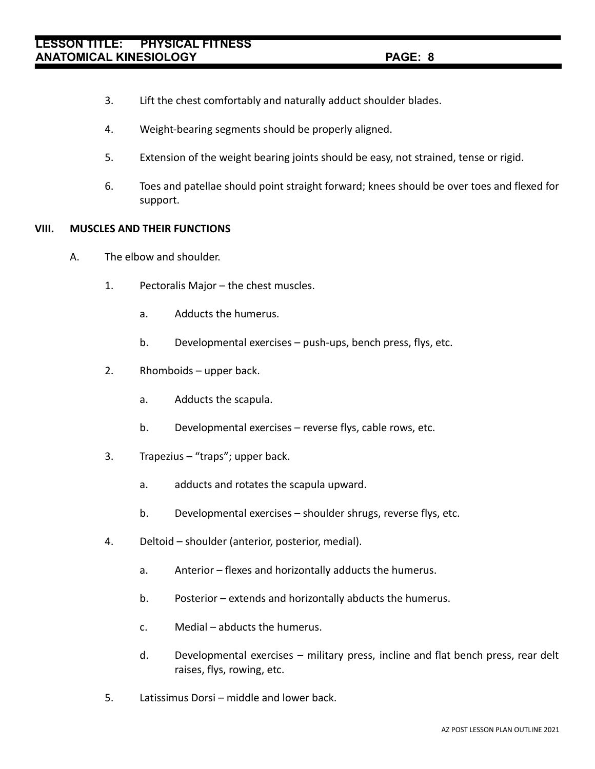- 3. Lift the chest comfortably and naturally adduct shoulder blades.
- 4. Weight-bearing segments should be properly aligned.
- 5. Extension of the weight bearing joints should be easy, not strained, tense or rigid.
- 6. Toes and patellae should point straight forward; knees should be over toes and flexed for support.

#### **VIII. MUSCLES AND THEIR FUNCTIONS**

- A. The elbow and shoulder.
	- 1. Pectoralis Major the chest muscles.
		- a. Adducts the humerus.
		- b. Developmental exercises push-ups, bench press, flys, etc.
	- 2. Rhomboids upper back.
		- a. Adducts the scapula.
		- b. Developmental exercises reverse flys, cable rows, etc.
	- 3. Trapezius "traps"; upper back.
		- a. adducts and rotates the scapula upward.
		- b. Developmental exercises shoulder shrugs, reverse flys, etc.
	- 4. Deltoid shoulder (anterior, posterior, medial).
		- a. Anterior flexes and horizontally adducts the humerus.
		- b. Posterior extends and horizontally abducts the humerus.
		- c. Medial abducts the humerus.
		- d. Developmental exercises military press, incline and flat bench press, rear delt raises, flys, rowing, etc.
	- 5. Latissimus Dorsi middle and lower back.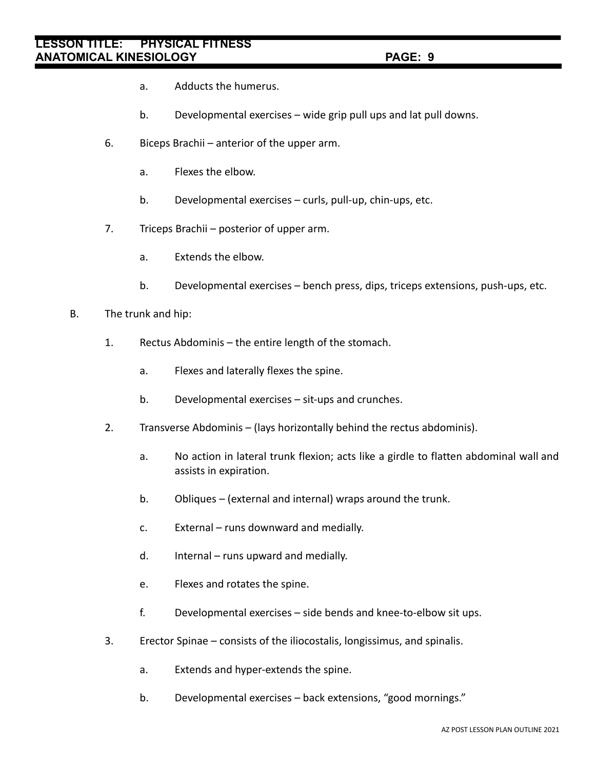- a. Adducts the humerus.
- b. Developmental exercises wide grip pull ups and lat pull downs.
- 6. Biceps Brachii anterior of the upper arm.
	- a. Flexes the elbow.
	- b. Developmental exercises curls, pull-up, chin-ups, etc.
- 7. Triceps Brachii posterior of upper arm.
	- a. Extends the elbow.
	- b. Developmental exercises bench press, dips, triceps extensions, push-ups, etc.
- B. The trunk and hip:
	- 1. Rectus Abdominis the entire length of the stomach.
		- a. Flexes and laterally flexes the spine.
		- b. Developmental exercises sit-ups and crunches.
	- 2. Transverse Abdominis (lays horizontally behind the rectus abdominis).
		- a. No action in lateral trunk flexion; acts like a girdle to flatten abdominal wall and assists in expiration.
		- b. Obliques (external and internal) wraps around the trunk.
		- c. External runs downward and medially.
		- d. Internal runs upward and medially.
		- e. Flexes and rotates the spine.
		- f. Developmental exercises side bends and knee-to-elbow sit ups.
	- 3. Erector Spinae consists of the iliocostalis, longissimus, and spinalis.
		- a. Extends and hyper-extends the spine.
		- b. Developmental exercises back extensions, "good mornings."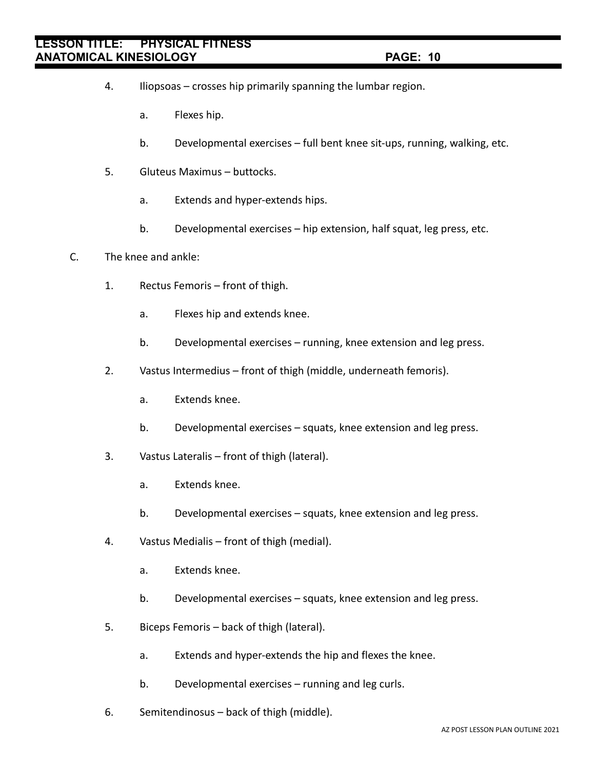- 4. Iliopsoas crosses hip primarily spanning the lumbar region.
	- a. Flexes hip.
	- b. Developmental exercises full bent knee sit-ups, running, walking, etc.
- 5. Gluteus Maximus buttocks.
	- a. Extends and hyper-extends hips.
	- b. Developmental exercises hip extension, half squat, leg press, etc.
- C. The knee and ankle:
	- 1. Rectus Femoris front of thigh.
		- a. Flexes hip and extends knee.
		- b. Developmental exercises running, knee extension and leg press.
	- 2. Vastus Intermedius front of thigh (middle, underneath femoris).
		- a. Extends knee.
		- b. Developmental exercises squats, knee extension and leg press.
	- 3. Vastus Lateralis front of thigh (lateral).
		- a. Extends knee.
		- b. Developmental exercises squats, knee extension and leg press.
	- 4. Vastus Medialis front of thigh (medial).
		- a. Extends knee.
		- b. Developmental exercises squats, knee extension and leg press.
	- 5. Biceps Femoris back of thigh (lateral).
		- a. Extends and hyper-extends the hip and flexes the knee.
		- b. Developmental exercises running and leg curls.
	- 6. Semitendinosus back of thigh (middle).